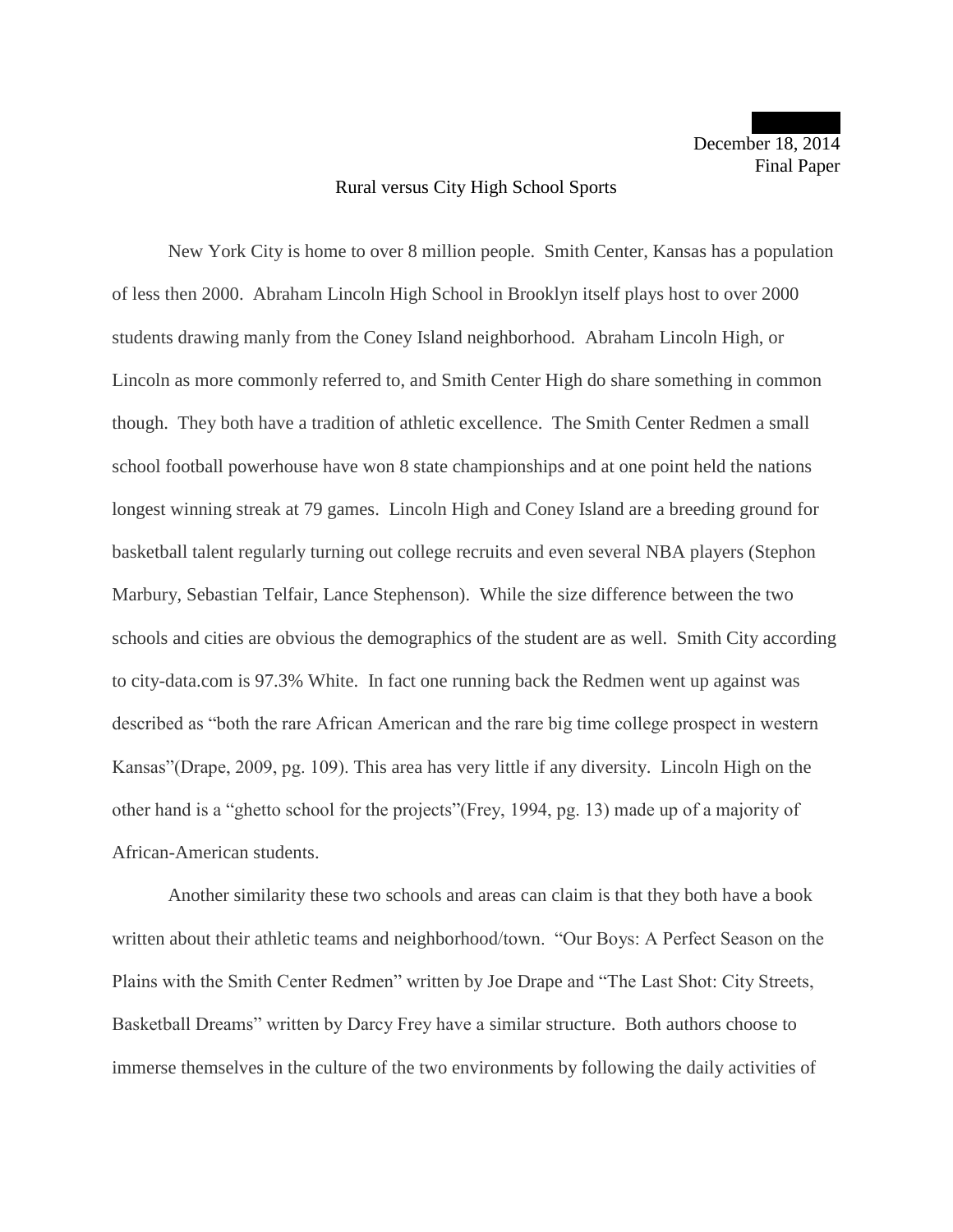## Rural versus City High School Sports

New York City is home to over 8 million people. Smith Center, Kansas has a population of less then 2000. Abraham Lincoln High School in Brooklyn itself plays host to over 2000 students drawing manly from the Coney Island neighborhood. Abraham Lincoln High, or Lincoln as more commonly referred to, and Smith Center High do share something in common though. They both have a tradition of athletic excellence. The Smith Center Redmen a small school football powerhouse have won 8 state championships and at one point held the nations longest winning streak at 79 games. Lincoln High and Coney Island are a breeding ground for basketball talent regularly turning out college recruits and even several NBA players (Stephon Marbury, Sebastian Telfair, Lance Stephenson). While the size difference between the two schools and cities are obvious the demographics of the student are as well. Smith City according to city-data.com is 97.3% White. In fact one running back the Redmen went up against was described as "both the rare African American and the rare big time college prospect in western Kansas"(Drape, 2009, pg. 109). This area has very little if any diversity. Lincoln High on the other hand is a "ghetto school for the projects"(Frey, 1994, pg. 13) made up of a majority of African-American students.

Another similarity these two schools and areas can claim is that they both have a book written about their athletic teams and neighborhood/town. "Our Boys: A Perfect Season on the Plains with the Smith Center Redmen" written by Joe Drape and "The Last Shot: City Streets, Basketball Dreams" written by Darcy Frey have a similar structure. Both authors choose to immerse themselves in the culture of the two environments by following the daily activities of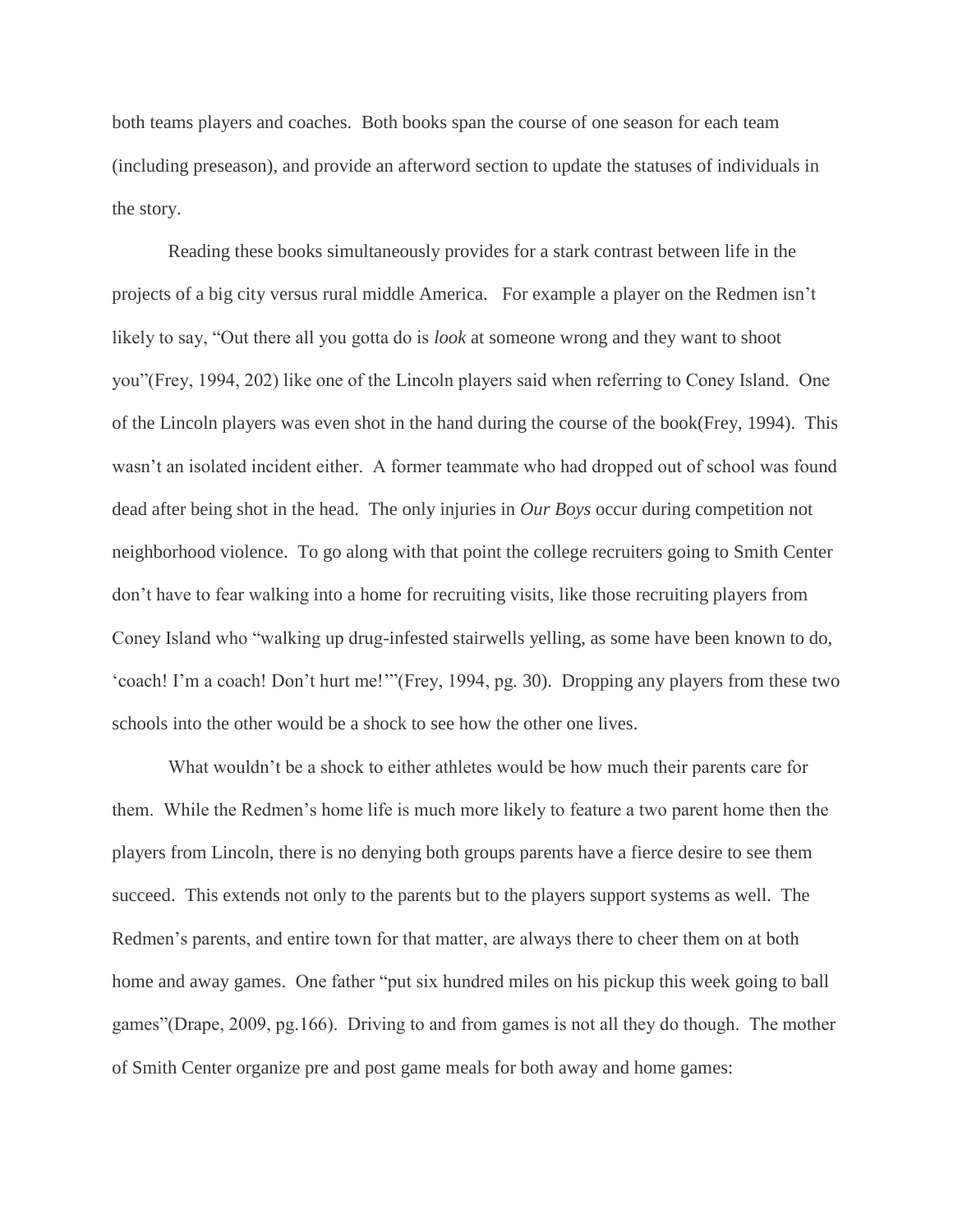both teams players and coaches. Both books span the course of one season for each team (including preseason), and provide an afterword section to update the statuses of individuals in the story.

Reading these books simultaneously provides for a stark contrast between life in the projects of a big city versus rural middle America. For example a player on the Redmen isn't likely to say, "Out there all you gotta do is *look* at someone wrong and they want to shoot you"(Frey, 1994, 202) like one of the Lincoln players said when referring to Coney Island. One of the Lincoln players was even shot in the hand during the course of the book(Frey, 1994). This wasn't an isolated incident either. A former teammate who had dropped out of school was found dead after being shot in the head. The only injuries in *Our Boys* occur during competition not neighborhood violence. To go along with that point the college recruiters going to Smith Center don't have to fear walking into a home for recruiting visits, like those recruiting players from Coney Island who "walking up drug-infested stairwells yelling, as some have been known to do, 'coach! I'm a coach! Don't hurt me!'"(Frey, 1994, pg. 30). Dropping any players from these two schools into the other would be a shock to see how the other one lives.

What wouldn't be a shock to either athletes would be how much their parents care for them. While the Redmen's home life is much more likely to feature a two parent home then the players from Lincoln, there is no denying both groups parents have a fierce desire to see them succeed. This extends not only to the parents but to the players support systems as well. The Redmen's parents, and entire town for that matter, are always there to cheer them on at both home and away games. One father "put six hundred miles on his pickup this week going to ball games"(Drape, 2009, pg.166). Driving to and from games is not all they do though. The mother of Smith Center organize pre and post game meals for both away and home games: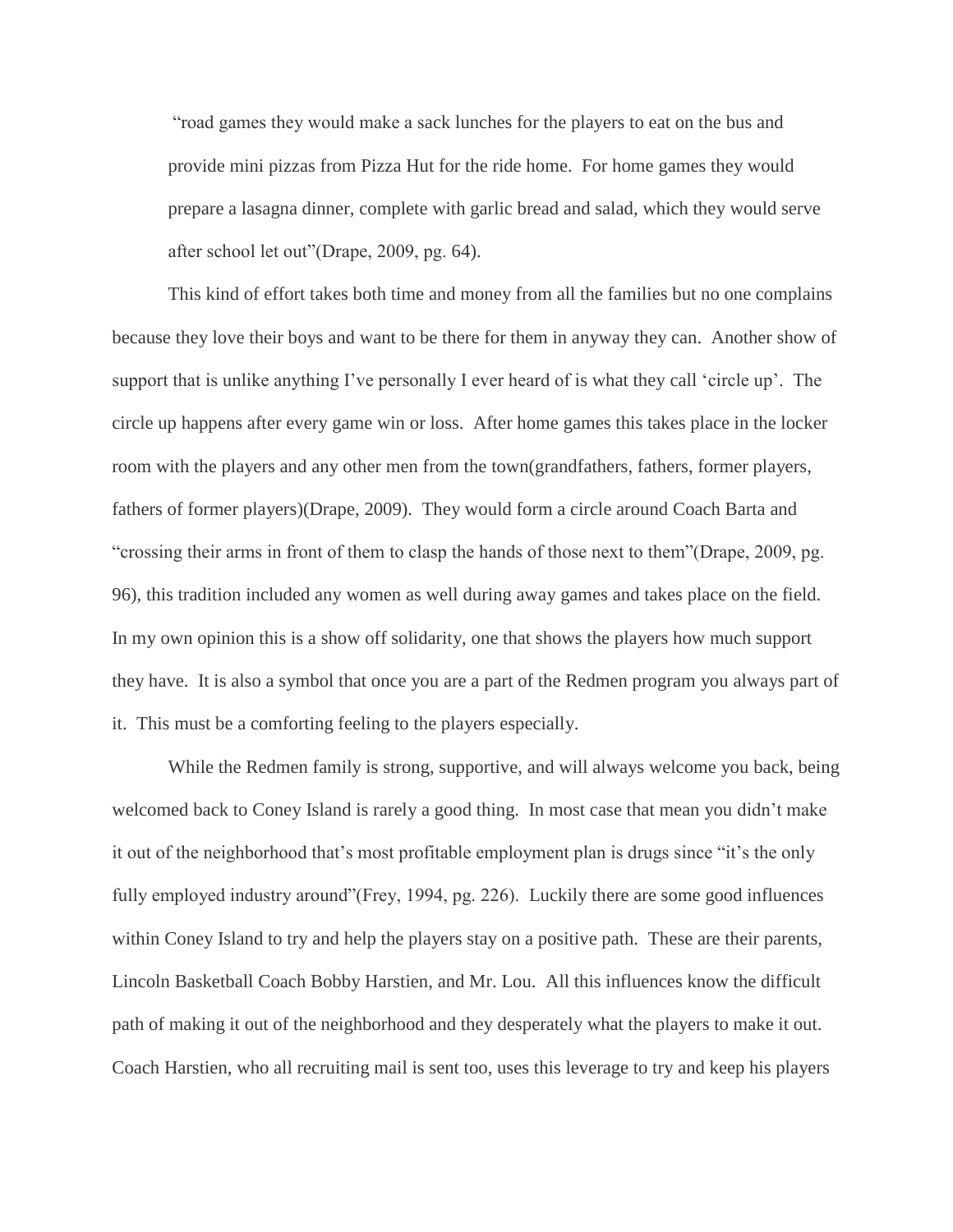"road games they would make a sack lunches for the players to eat on the bus and provide mini pizzas from Pizza Hut for the ride home. For home games they would prepare a lasagna dinner, complete with garlic bread and salad, which they would serve after school let out"(Drape, 2009, pg. 64).

This kind of effort takes both time and money from all the families but no one complains because they love their boys and want to be there for them in anyway they can. Another show of support that is unlike anything I've personally I ever heard of is what they call 'circle up'. The circle up happens after every game win or loss. After home games this takes place in the locker room with the players and any other men from the town(grandfathers, fathers, former players, fathers of former players)(Drape, 2009). They would form a circle around Coach Barta and "crossing their arms in front of them to clasp the hands of those next to them"(Drape, 2009, pg. 96), this tradition included any women as well during away games and takes place on the field. In my own opinion this is a show off solidarity, one that shows the players how much support they have. It is also a symbol that once you are a part of the Redmen program you always part of it. This must be a comforting feeling to the players especially.

While the Redmen family is strong, supportive, and will always welcome you back, being welcomed back to Coney Island is rarely a good thing. In most case that mean you didn't make it out of the neighborhood that's most profitable employment plan is drugs since "it's the only fully employed industry around"(Frey, 1994, pg. 226). Luckily there are some good influences within Coney Island to try and help the players stay on a positive path. These are their parents, Lincoln Basketball Coach Bobby Harstien, and Mr. Lou. All this influences know the difficult path of making it out of the neighborhood and they desperately what the players to make it out. Coach Harstien, who all recruiting mail is sent too, uses this leverage to try and keep his players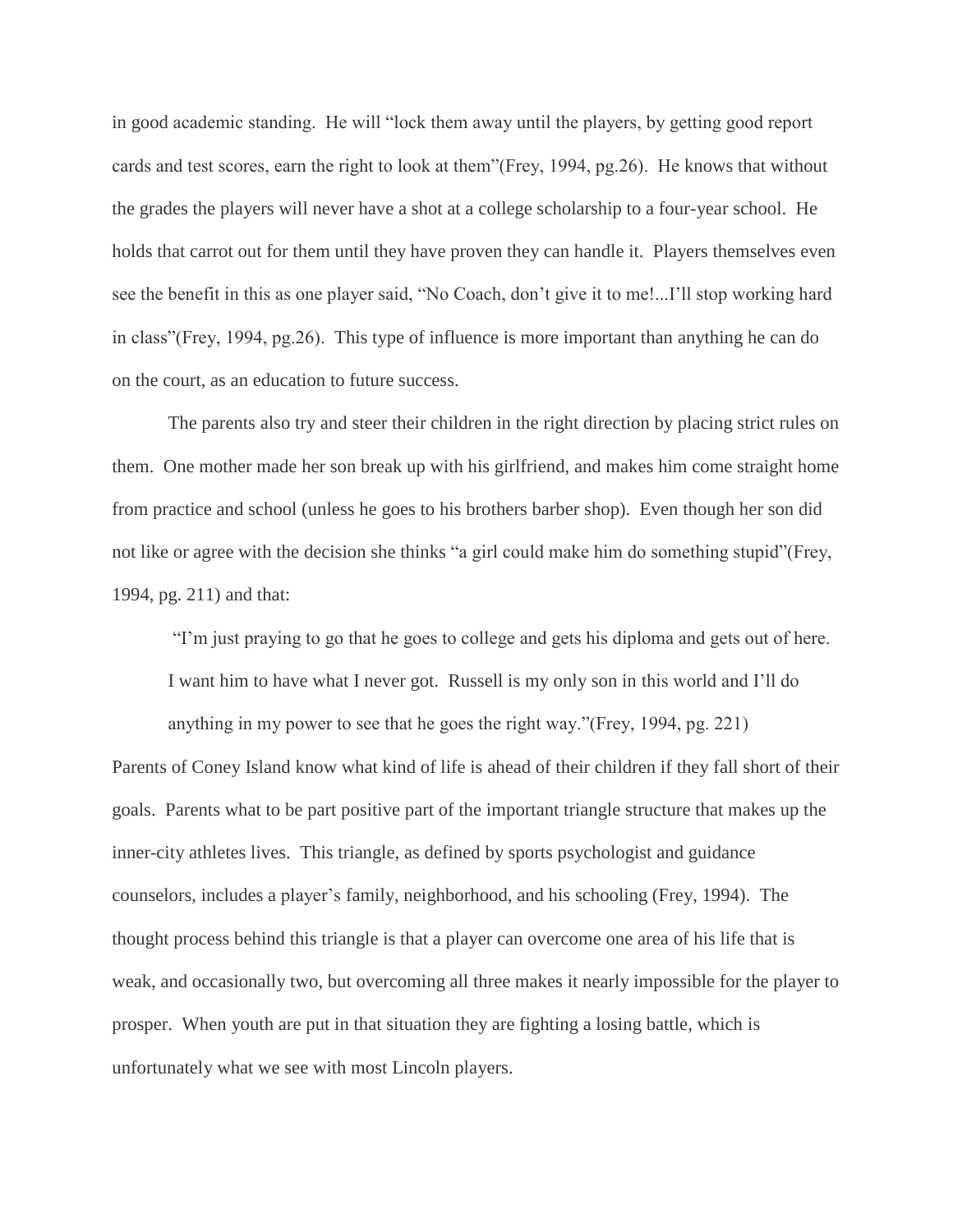in good academic standing. He will "lock them away until the players, by getting good report cards and test scores, earn the right to look at them"(Frey, 1994, pg.26). He knows that without the grades the players will never have a shot at a college scholarship to a four-year school. He holds that carrot out for them until they have proven they can handle it. Players themselves even see the benefit in this as one player said, "No Coach, don't give it to me!...I'll stop working hard in class"(Frey, 1994, pg.26). This type of influence is more important than anything he can do on the court, as an education to future success.

The parents also try and steer their children in the right direction by placing strict rules on them. One mother made her son break up with his girlfriend, and makes him come straight home from practice and school (unless he goes to his brothers barber shop). Even though her son did not like or agree with the decision she thinks "a girl could make him do something stupid"(Frey, 1994, pg. 211) and that:

"I'm just praying to go that he goes to college and gets his diploma and gets out of here.

I want him to have what I never got. Russell is my only son in this world and I'll do

anything in my power to see that he goes the right way."(Frey, 1994, pg. 221) Parents of Coney Island know what kind of life is ahead of their children if they fall short of their goals. Parents what to be part positive part of the important triangle structure that makes up the inner-city athletes lives. This triangle, as defined by sports psychologist and guidance counselors, includes a player's family, neighborhood, and his schooling (Frey, 1994). The thought process behind this triangle is that a player can overcome one area of his life that is weak, and occasionally two, but overcoming all three makes it nearly impossible for the player to prosper. When youth are put in that situation they are fighting a losing battle, which is unfortunately what we see with most Lincoln players.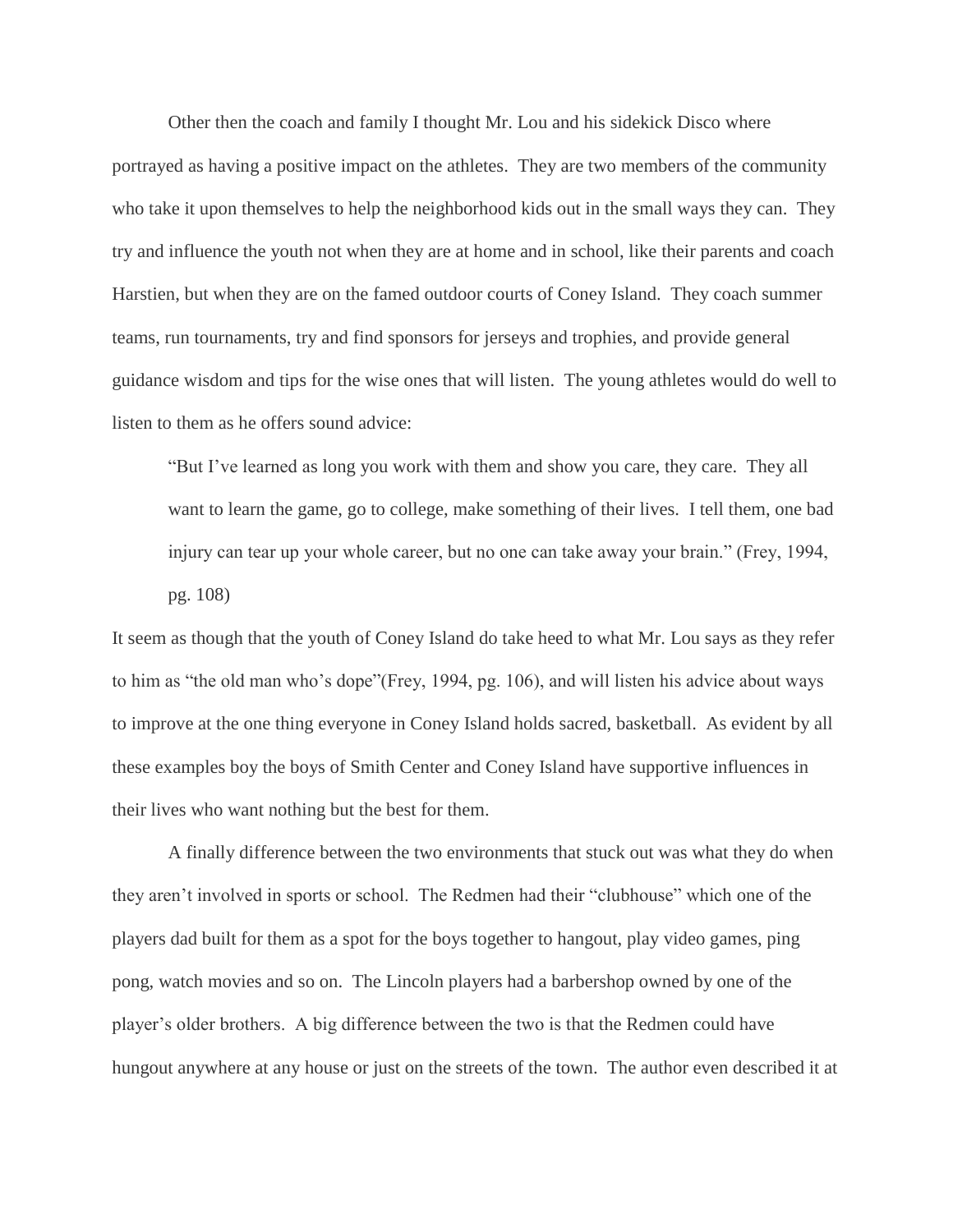Other then the coach and family I thought Mr. Lou and his sidekick Disco where portrayed as having a positive impact on the athletes. They are two members of the community who take it upon themselves to help the neighborhood kids out in the small ways they can. They try and influence the youth not when they are at home and in school, like their parents and coach Harstien, but when they are on the famed outdoor courts of Coney Island. They coach summer teams, run tournaments, try and find sponsors for jerseys and trophies, and provide general guidance wisdom and tips for the wise ones that will listen. The young athletes would do well to listen to them as he offers sound advice:

"But I've learned as long you work with them and show you care, they care. They all want to learn the game, go to college, make something of their lives. I tell them, one bad injury can tear up your whole career, but no one can take away your brain." (Frey, 1994, pg. 108)

It seem as though that the youth of Coney Island do take heed to what Mr. Lou says as they refer to him as "the old man who's dope"(Frey, 1994, pg. 106), and will listen his advice about ways to improve at the one thing everyone in Coney Island holds sacred, basketball. As evident by all these examples boy the boys of Smith Center and Coney Island have supportive influences in their lives who want nothing but the best for them.

A finally difference between the two environments that stuck out was what they do when they aren't involved in sports or school. The Redmen had their "clubhouse" which one of the players dad built for them as a spot for the boys together to hangout, play video games, ping pong, watch movies and so on. The Lincoln players had a barbershop owned by one of the player's older brothers. A big difference between the two is that the Redmen could have hungout anywhere at any house or just on the streets of the town. The author even described it at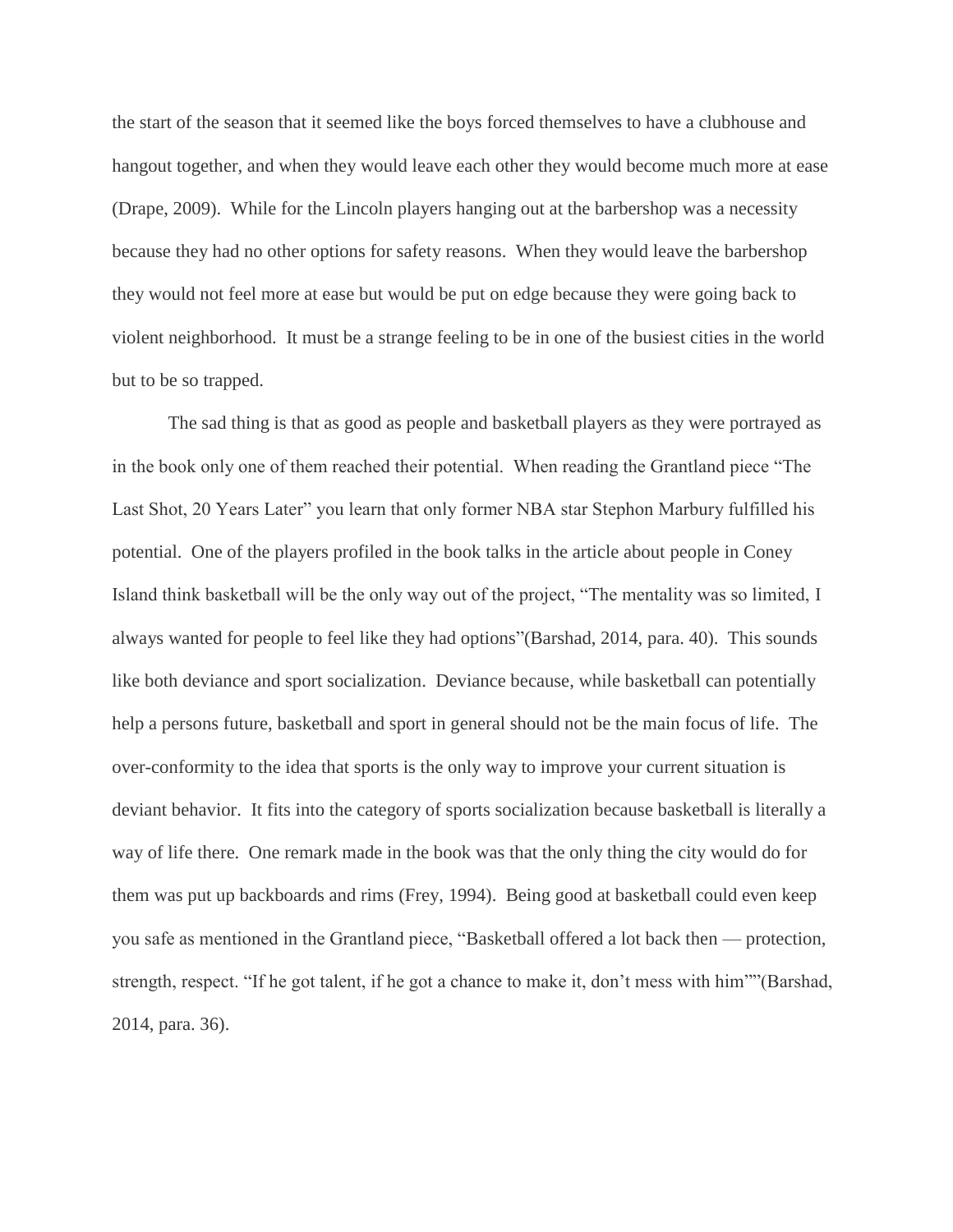the start of the season that it seemed like the boys forced themselves to have a clubhouse and hangout together, and when they would leave each other they would become much more at ease (Drape, 2009). While for the Lincoln players hanging out at the barbershop was a necessity because they had no other options for safety reasons. When they would leave the barbershop they would not feel more at ease but would be put on edge because they were going back to violent neighborhood. It must be a strange feeling to be in one of the busiest cities in the world but to be so trapped.

The sad thing is that as good as people and basketball players as they were portrayed as in the book only one of them reached their potential. When reading the Grantland piece "The Last Shot, 20 Years Later" you learn that only former NBA star Stephon Marbury fulfilled his potential. One of the players profiled in the book talks in the article about people in Coney Island think basketball will be the only way out of the project, "The mentality was so limited, I always wanted for people to feel like they had options"(Barshad, 2014, para. 40). This sounds like both deviance and sport socialization. Deviance because, while basketball can potentially help a persons future, basketball and sport in general should not be the main focus of life. The over-conformity to the idea that sports is the only way to improve your current situation is deviant behavior. It fits into the category of sports socialization because basketball is literally a way of life there. One remark made in the book was that the only thing the city would do for them was put up backboards and rims (Frey, 1994). Being good at basketball could even keep you safe as mentioned in the Grantland piece, "Basketball offered a lot back then — protection, strength, respect. "If he got talent, if he got a chance to make it, don't mess with him""(Barshad, 2014, para. 36).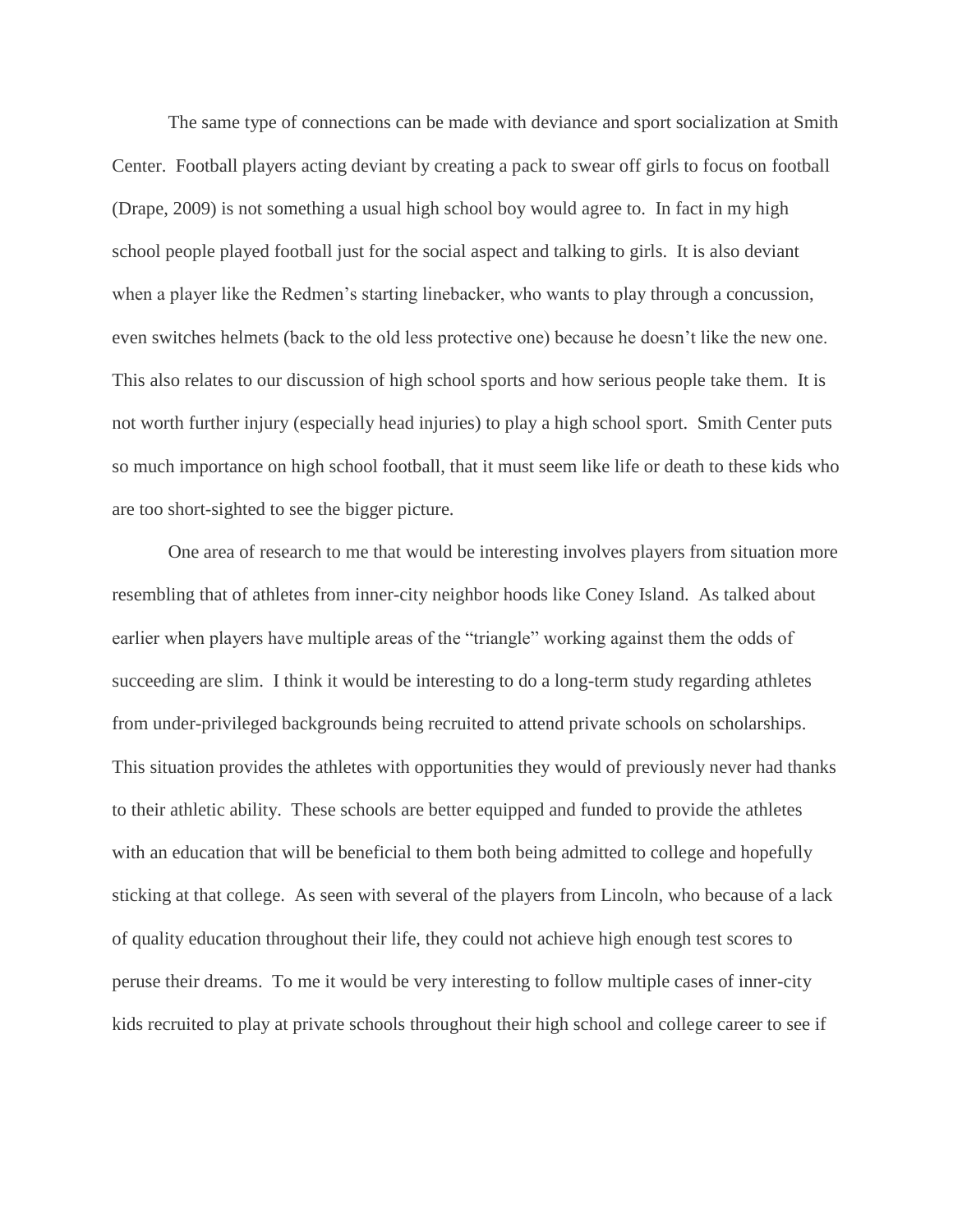The same type of connections can be made with deviance and sport socialization at Smith Center. Football players acting deviant by creating a pack to swear off girls to focus on football (Drape, 2009) is not something a usual high school boy would agree to. In fact in my high school people played football just for the social aspect and talking to girls. It is also deviant when a player like the Redmen's starting linebacker, who wants to play through a concussion, even switches helmets (back to the old less protective one) because he doesn't like the new one. This also relates to our discussion of high school sports and how serious people take them. It is not worth further injury (especially head injuries) to play a high school sport. Smith Center puts so much importance on high school football, that it must seem like life or death to these kids who are too short-sighted to see the bigger picture.

One area of research to me that would be interesting involves players from situation more resembling that of athletes from inner-city neighbor hoods like Coney Island. As talked about earlier when players have multiple areas of the "triangle" working against them the odds of succeeding are slim. I think it would be interesting to do a long-term study regarding athletes from under-privileged backgrounds being recruited to attend private schools on scholarships. This situation provides the athletes with opportunities they would of previously never had thanks to their athletic ability. These schools are better equipped and funded to provide the athletes with an education that will be beneficial to them both being admitted to college and hopefully sticking at that college. As seen with several of the players from Lincoln, who because of a lack of quality education throughout their life, they could not achieve high enough test scores to peruse their dreams. To me it would be very interesting to follow multiple cases of inner-city kids recruited to play at private schools throughout their high school and college career to see if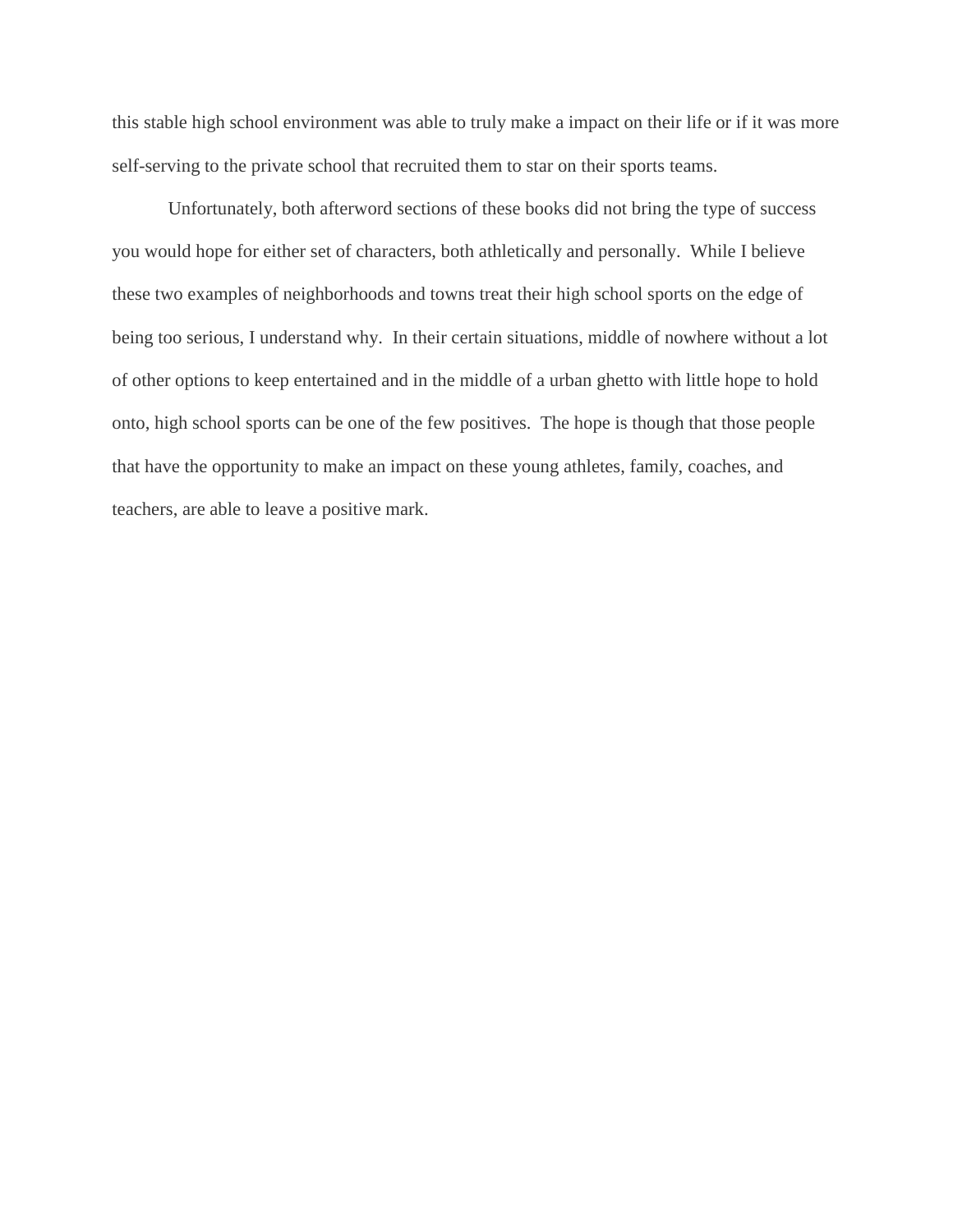this stable high school environment was able to truly make a impact on their life or if it was more self-serving to the private school that recruited them to star on their sports teams.

Unfortunately, both afterword sections of these books did not bring the type of success you would hope for either set of characters, both athletically and personally. While I believe these two examples of neighborhoods and towns treat their high school sports on the edge of being too serious, I understand why. In their certain situations, middle of nowhere without a lot of other options to keep entertained and in the middle of a urban ghetto with little hope to hold onto, high school sports can be one of the few positives. The hope is though that those people that have the opportunity to make an impact on these young athletes, family, coaches, and teachers, are able to leave a positive mark.